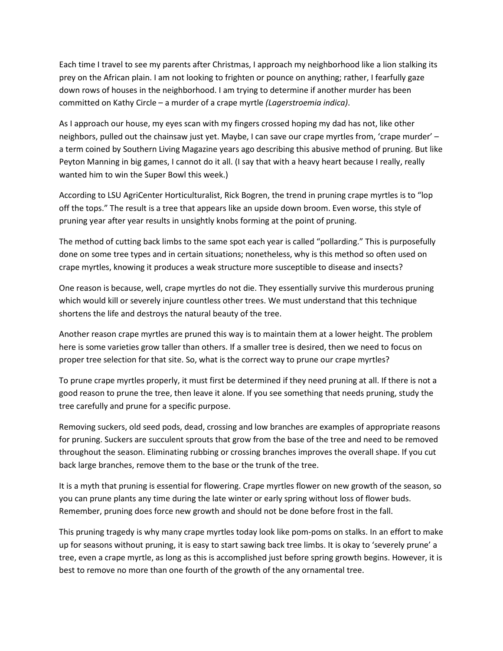Each time I travel to see my parents after Christmas, I approach my neighborhood like a lion stalking its prey on the African plain. I am not looking to frighten or pounce on anything; rather, I fearfully gaze down rows of houses in the neighborhood. I am trying to determine if another murder has been committed on Kathy Circle – a murder of a crape myrtle *(Lagerstroemia indica)*.

As I approach our house, my eyes scan with my fingers crossed hoping my dad has not, like other neighbors, pulled out the chainsaw just yet. Maybe, I can save our crape myrtles from, 'crape murder' – a term coined by Southern Living Magazine years ago describing this abusive method of pruning. But like Peyton Manning in big games, I cannot do it all. (I say that with a heavy heart because I really, really wanted him to win the Super Bowl this week.)

According to LSU AgriCenter Horticulturalist, Rick Bogren, the trend in pruning crape myrtles is to "lop off the tops." The result is a tree that appears like an upside down broom. Even worse, this style of pruning year after year results in unsightly knobs forming at the point of pruning.

The method of cutting back limbs to the same spot each year is called "pollarding." This is purposefully done on some tree types and in certain situations; nonetheless, why is this method so often used on crape myrtles, knowing it produces a weak structure more susceptible to disease and insects?

One reason is because, well, crape myrtles do not die. They essentially survive this murderous pruning which would kill or severely injure countless other trees. We must understand that this technique shortens the life and destroys the natural beauty of the tree.

Another reason crape myrtles are pruned this way is to maintain them at a lower height. The problem here is some varieties grow taller than others. If a smaller tree is desired, then we need to focus on proper tree selection for that site. So, what is the correct way to prune our crape myrtles?

To prune crape myrtles properly, it must first be determined if they need pruning at all. If there is not a good reason to prune the tree, then leave it alone. If you see something that needs pruning, study the tree carefully and prune for a specific purpose.

Removing suckers, old seed pods, dead, crossing and low branches are examples of appropriate reasons for pruning. Suckers are succulent sprouts that grow from the base of the tree and need to be removed throughout the season. Eliminating rubbing or crossing branches improves the overall shape. If you cut back large branches, remove them to the base or the trunk of the tree.

It is a myth that pruning is essential for flowering. Crape myrtles flower on new growth of the season, so you can prune plants any time during the late winter or early spring without loss of flower buds. Remember, pruning does force new growth and should not be done before frost in the fall.

This pruning tragedy is why many crape myrtles today look like pom-poms on stalks. In an effort to make up for seasons without pruning, it is easy to start sawing back tree limbs. It is okay to 'severely prune' a tree, even a crape myrtle, as long as this is accomplished just before spring growth begins. However, it is best to remove no more than one fourth of the growth of the any ornamental tree.